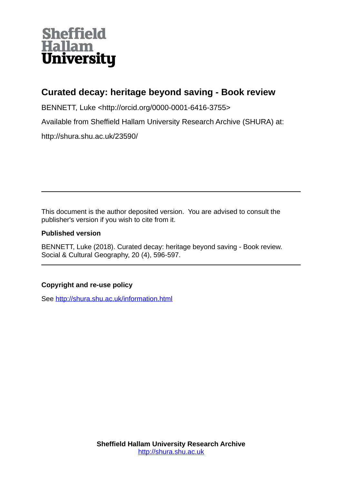# **Sheffield<br>Hallam<br>University**

## **Curated decay: heritage beyond saving - Book review**

BENNETT, Luke <http://orcid.org/0000-0001-6416-3755>

Available from Sheffield Hallam University Research Archive (SHURA) at:

http://shura.shu.ac.uk/23590/

This document is the author deposited version. You are advised to consult the publisher's version if you wish to cite from it.

#### **Published version**

BENNETT, Luke (2018). Curated decay: heritage beyond saving - Book review. Social & Cultural Geography, 20 (4), 596-597.

#### **Copyright and re-use policy**

See<http://shura.shu.ac.uk/information.html>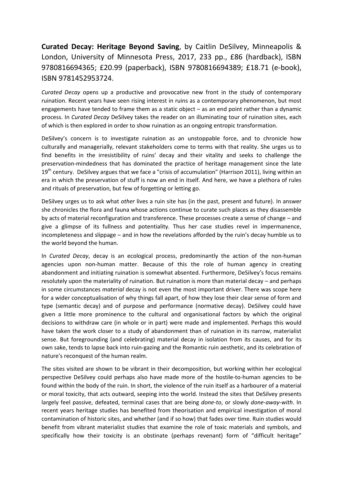### **Curated Decay: Heritage Beyond Saving**, by Caitlin DeSilvey, Minneapolis & London, University of Minnesota Press, 2017, 233 pp., £86 (hardback), ISBN 9780816694365; £20.99 (paperback), ISBN 9780816694389; £18.71 (e-book), ISBN 9781452953724.

*Curated Decay* opens up a productive and provocative new front in the study of contemporary ruination. Recent years have seen rising interest in ruins as a contemporary phenomenon, but most engagements have tended to frame them as a static object – as an end point rather than a dynamic process. In *Curated Decay* DeSilvey takes the reader on an illuminating tour of ruination sites, each of which is then explored in order to show ruination as an ongoing entropic transformation.

DeSilvey's concern is to investigate ruination as an unstoppable force, and to chronicle how culturally and managerially, relevant stakeholders come to terms with that reality. She urges us to find benefits in the irresistibility of ruins' decay and their vitality and seeks to challenge the preservation-mindedness that has dominated the practice of heritage management since the late 19<sup>th</sup> century. DeSilvey argues that we face a "crisis of accumulation" (Harrison 2011), living within an era in which the preservation of stuff is now an end in itself. And here, we have a plethora of rules and rituals of preservation, but few of forgetting or letting go.

DeSilvey urges us to ask what *other* lives a ruin site has (in the past, present and future). In answer she chronicles the flora and fauna whose actions continue to curate such places as they disassemble by acts of material reconfiguration and transference. These processes create a sense of change – and give a glimpse of its fullness and potentiality. Thus her case studies revel in impermanence, incompleteness and slippage – and in how the revelations afforded by the ruin's decay humble us to the world beyond the human.

In *Curated Decay*, decay is an ecological process, predominantly the action of the non-human agencies upon non-human matter. Because of this the role of human agency in creating abandonment and initiating ruination is somewhat absented. Furthermore, DeSilvey's focus remains resolutely upon the materiality of ruination. But ruination is more than material decay – and perhaps in some circumstances *material* decay is not even the most important driver. There was scope here for a wider conceptualisation of why things fall apart, of how they lose their clear sense of form and type (semantic decay) and of purpose and performance (normative decay). DeSilvey could have given a little more prominence to the cultural and organisational factors by which the original decisions to withdraw care (in whole or in part) were made and implemented. Perhaps this would have taken the work closer to a study of abandonment than of ruination in its narrow, materialist sense. But foregrounding (and celebrating) material decay in isolation from its causes, and for its own sake, tends to lapse back into ruin-gazing and the Romantic ruin aesthetic, and its celebration of nature's reconquest of the human realm.

The sites visited are shown to be vibrant in their decomposition, but working within her ecological perspective DeSilvey could perhaps also have made more of the hostile-to-human agencies to be found within the body of the ruin. In short, the violence of the ruin itself as a harbourer of a material or moral toxicity, that acts outward, seeping into the world. Instead the sites that DeSilvey presents largely feel passive, defeated, terminal cases that are being *done-to*, or slowly *done-away-with*. In recent years heritage studies has benefited from theorisation and empirical investigation of moral contamination of historic sites, and whether (and if so how) that fades over time. Ruin studies would benefit from vibrant materialist studies that examine the role of toxic materials and symbols, and specifically how their toxicity is an obstinate (perhaps revenant) form of "difficult heritage"